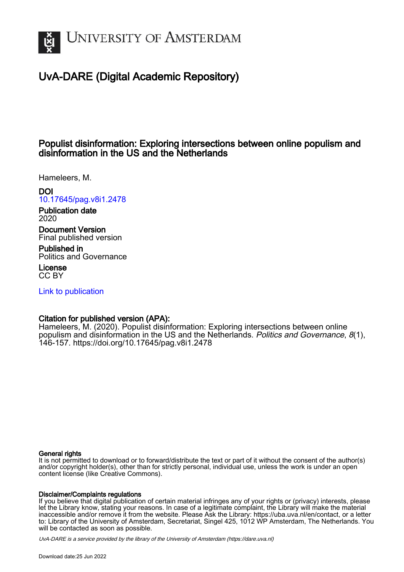

# UvA-DARE (Digital Academic Repository)

## Populist disinformation: Exploring intersections between online populism and disinformation in the US and the Netherlands

Hameleers, M.

DOI

[10.17645/pag.v8i1.2478](https://doi.org/10.17645/pag.v8i1.2478)

Publication date 2020

Document Version Final published version

Published in Politics and Governance

License CC BY

[Link to publication](https://dare.uva.nl/personal/pure/en/publications/populist-disinformation-exploring-intersections-between-online-populism-and-disinformation-in-the-us-and-the-netherlands(c2029b45-05ad-4428-9898-ebb483680fa9).html)

## Citation for published version (APA):

Hameleers, M. (2020). Populist disinformation: Exploring intersections between online populism and disinformation in the US and the Netherlands. Politics and Governance, 8(1), 146-157. <https://doi.org/10.17645/pag.v8i1.2478>

## General rights

It is not permitted to download or to forward/distribute the text or part of it without the consent of the author(s) and/or copyright holder(s), other than for strictly personal, individual use, unless the work is under an open content license (like Creative Commons).

## Disclaimer/Complaints regulations

If you believe that digital publication of certain material infringes any of your rights or (privacy) interests, please let the Library know, stating your reasons. In case of a legitimate complaint, the Library will make the material inaccessible and/or remove it from the website. Please Ask the Library: https://uba.uva.nl/en/contact, or a letter to: Library of the University of Amsterdam, Secretariat, Singel 425, 1012 WP Amsterdam, The Netherlands. You will be contacted as soon as possible.

UvA-DARE is a service provided by the library of the University of Amsterdam (http*s*://dare.uva.nl)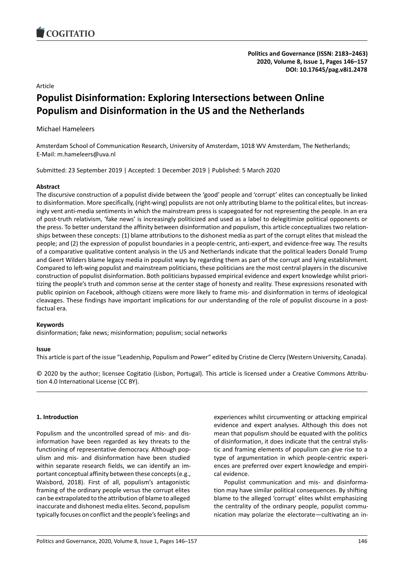## Article

# **Populist Disinformation: Exploring Intersections between Online Populism and Disinformation in the US and the Netherlands**

## Michael Hameleers

Amsterdam School of Communication Research, University of Amsterdam, 1018 WV Amsterdam, The Netherlands; E-Mail: m.hameleers@uva.nl

Submitted: 23 September 2019 | Accepted: 1 December 2019 | Published: 5 March 2020

## **Abstract**

The discursive construction of a populist divide between the 'good' people and 'corrupt' elites can conceptually be linked to disinformation. More specifically, (right-wing) populists are not only attributing blame to the political elites, but increasingly vent anti-media sentiments in which the mainstream press is scapegoated for not representing the people. In an era of post-truth relativism, 'fake news' is increasingly politicized and used as a label to delegitimize political opponents or the press. To better understand the affinity between disinformation and populism, this article conceptualizes two relationships between these concepts: (1) blame attributions to the dishonest media as part of the corrupt elites that mislead the people; and (2) the expression of populist boundaries in a people-centric, anti-expert, and evidence-free way. The results of a comparative qualitative content analysis in the US and Netherlands indicate that the political leaders Donald Trump and Geert Wilders blame legacy media in populist ways by regarding them as part of the corrupt and lying establishment. Compared to left-wing populist and mainstream politicians, these politicians are the most central players in the discursive construction of populist disinformation. Both politicians bypassed empirical evidence and expert knowledge whilst prioritizing the people's truth and common sense at the center stage of honesty and reality. These expressions resonated with public opinion on Facebook, although citizens were more likely to frame mis- and disinformation in terms of ideological cleavages. These findings have important implications for our understanding of the role of populist discourse in a postfactual era.

## **Keywords**

disinformation; fake news; misinformation; populism; social networks

## **Issue**

This article is part of the issue "Leadership, Populism and Power" edited by Cristine de Clercy (Western University, Canada).

© 2020 by the author; licensee Cogitatio (Lisbon, Portugal). This article is licensed under a Creative Commons Attribution 4.0 International License (CC BY).

## **1. Introduction**

Populism and the uncontrolled spread of mis- and disinformation have been regarded as key threats to the functioning of representative democracy. Although populism and mis- and disinformation have been studied within separate research fields, we can identify an important conceptual affinity between these concepts (e.g., Waisbord, 2018). First of all, populism's antagonistic framing of the ordinary people versus the corrupt elites can be extrapolated to the attribution of blame to alleged inaccurate and dishonest media elites. Second, populism typically focuses on conflict and the people's feelings and

experiences whilst circumventing or attacking empirical evidence and expert analyses. Although this does not mean that populism should be equated with the politics of disinformation, it does indicate that the central stylistic and framing elements of populism can give rise to a type of argumentation in which people-centric experiences are preferred over expert knowledge and empirical evidence.

Populist communication and mis- and disinformation may have similar political consequences. By shifting blame to the alleged 'corrupt' elites whilst emphasizing the centrality of the ordinary people, populist communication may polarize the electorate—cultivating an in-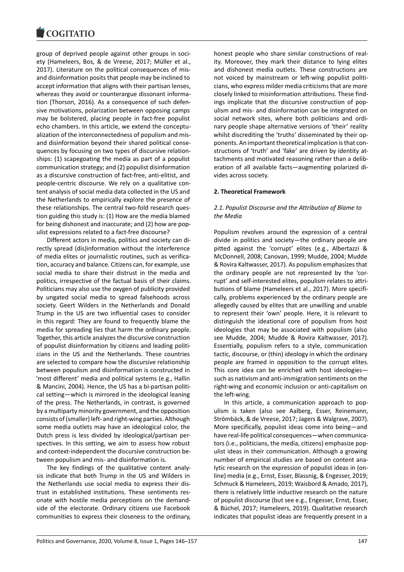group of deprived people against other groups in society (Hameleers, Bos, & de Vreese, 2017; Müller et al., 2017). Literature on the political consequences of misand disinformation posits that people may be inclined to accept information that aligns with their partisan lenses, whereas they avoid or counterargue dissonant information (Thorson, 2016). As a consequence of such defensive motivations, polarization between opposing camps may be bolstered, placing people in fact-free populist echo chambers. In this article, we extend the conceptualization of the interconnectedness of populism and misand disinformation beyond their shared political consequences by focusing on two types of discursive relationships: (1) scapegoating the media as part of a populist communication strategy; and (2) populist disinformation as a discursive construction of fact-free, anti-elitist, and people-centric discourse. We rely on a qualitative content analysis of social media data collected in the US and the Netherlands to empirically explore the presence of these relationships. The central two-fold research question guiding this study is: (1) How are the media blamed for being dishonest and inaccurate; and (2) how are populist expressions related to a fact-free discourse?

Different actors in media, politics and society can directly spread (dis)information without the interference of media elites or journalistic routines, such as verification, accuracy and balance. Citizens can, for example, use social media to share their distrust in the media and politics, irrespective of the factual basis of their claims. Politicians may also use the oxygen of publicity provided by ungated social media to spread falsehoods across society. Geert Wilders in the Netherlands and Donald Trump in the US are two influential cases to consider in this regard: They are found to frequently blame the media for spreading lies that harm the ordinary people. Together, this article analyzes the discursive construction of populist disinformation by citizens and leading politicians in the US and the Netherlands. These countries are selected to compare how the discursive relationship between populism and disinformation is constructed in 'most different' media and political systems (e.g., Hallin & Mancini, 2004). Hence, the US has a bi-partisan political setting—which is mirrored in the ideological leaning of the press. The Netherlands, in contrast, is governed by a multiparty minority government, and the opposition consists of (smaller) left- and right-wing parties. Although some media outlets may have an ideological color, the Dutch press is less divided by ideological/partisan perspectives. In this setting, we aim to assess how robust and context-independent the discursive construction between populism and mis- and disinformation is.

The key findings of the qualitative content analysis indicate that both Trump in the US and Wilders in the Netherlands use social media to express their distrust in established institutions. These sentiments resonate with hostile media perceptions on the demandside of the electorate. Ordinary citizens use Facebook communities to express their closeness to the ordinary, honest people who share similar constructions of reality. Moreover, they mark their distance to lying elites and dishonest media outlets. These constructions are not voiced by mainstream or left-wing populist politicians, who express milder media criticisms that are more closely linked to misinformation attributions. These findings implicate that the discursive construction of populism and mis- and disinformation can be integrated on social network sites, where both politicians and ordinary people shape alternative versions of 'their' reality whilst discrediting the 'truths' disseminated by their opponents. An important theoretical implication is that constructions of 'truth' and 'fake' are driven by identity attachments and motivated reasoning rather than a deliberation of all available facts—augmenting polarized divides across society.

#### **2. Theoretical Framework**

#### *2.1. Populist Discourse and the Attribution of Blame to the Media*

Populism revolves around the expression of a central divide in politics and society—the ordinary people are pitted against the 'corrupt' elites (e.g., Albertazzi & McDonnell, 2008; Canovan, 1999; Mudde, 2004; Mudde & Rovira Kaltwasser, 2017). As populism emphasizes that the ordinary people are not represented by the 'corrupt' and self-interested elites, populism relates to attributions of blame (Hameleers et al., 2017). More specifically, problems experienced by the ordinary people are allegedly caused by elites that are unwilling and unable to represent their 'own' people. Here, it is relevant to distinguish the ideational core of populism from host ideologies that may be associated with populism (also see Mudde, 2004; Mudde & Rovira Kaltwasser, 2017). Essentially, populism refers to a style, communication tactic, discourse, or (thin) ideology in which the ordinary people are framed in opposition to the corrupt elites. This core idea can be enriched with host ideologies such as nativism and anti-immigration sentiments on the right-wing and economic inclusion or anti-capitalism on the left-wing.

In this article, a communication approach to populism is taken (also see Aalberg, Esser, Reinemann, Strömbäck, & de Vreese, 2017; Jagers & Walgrave, 2007). More specifically, populist ideas come into being—and have real-life political consequences—when communicators (i.e., politicians, the media, citizens) emphasize populist ideas in their communication. Although a growing number of empirical studies are based on content analytic research on the expression of populist ideas in (online) media (e.g., Ernst, Esser, Blassnig, & Engesser, 2019; Schmuck & Hameleers, 2019; Waisbord & Amado, 2017), there is relatively little inductive research on the nature of populist discourse (but see e.g., Engesser, Ernst, Esser, & Büchel, 2017; Hameleers, 2019). Qualitative research indicates that populist ideas are frequently present in a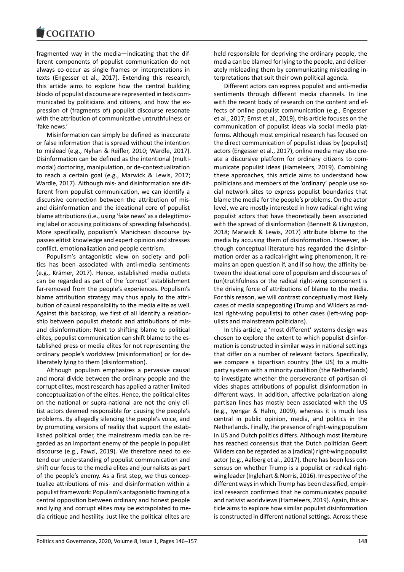fragmented way in the media—indicating that the different components of populist communication do not always co-occur as single frames or interpretations in texts (Engesser et al., 2017). Extending this research, this article aims to explore how the central building blocks of populist discourse are represented in texts communicated by politicians and citizens, and how the expression of (fragments of) populist discourse resonate with the attribution of communicative untruthfulness or 'fake news.'

Misinformation can simply be defined as inaccurate or false information that is spread without the intention to mislead (e.g., Nyhan & Reifler, 2010; Wardle, 2017). Disinformation can be defined as the intentional (multimodal) doctoring, manipulation, or de-contextualization to reach a certain goal (e.g., Marwick & Lewis, 2017; Wardle, 2017). Although mis- and disinformation are different from populist communication, we can identify a discursive connection between the attribution of misand disinformation and the ideational core of populist blame attributions (i.e., using 'fake news' as a delegitimizing label or accusing politicians of spreading falsehoods). More specifically, populism's Manichean discourse bypasses elitist knowledge and expert opinion and stresses conflict, emotionalization and people centrism.

Populism's antagonistic view on society and politics has been associated with anti-media sentiments (e.g., Krämer, 2017). Hence, established media outlets can be regarded as part of the 'corrupt' establishment far-removed from the people's experiences. Populism's blame attribution strategy may thus apply to the attribution of causal responsibility to the media elite as well. Against this backdrop, we first of all identify a relationship between populist rhetoric and attributions of misand disinformation: Next to shifting blame to political elites, populist communication can shift blame to the established press or media elites for not representing the ordinary people's worldview (misinformation) or for deliberately lying to them (disinformation).

Although populism emphasizes a pervasive causal and moral divide between the ordinary people and the corrupt elites, most research has applied a rather limited conceptualization of the elites. Hence, the political elites on the national or supra-national are not the only elitist actors deemed responsible for causing the people's problems. By allegedly silencing the people's voice, and by promoting versions of reality that support the established political order, the mainstream media can be regarded as an important enemy of the people in populist discourse (e.g., Fawzi, 2019). We therefore need to extend our understanding of populist communication and shift our focus to the media elites and journalists as part of the people's enemy. As a first step, we thus conceptualize attributions of mis- and disinformation within a populist framework: Populism's antagonistic framing of a central opposition between ordinary and honest people and lying and corrupt elites may be extrapolated to media critique and hostility. Just like the political elites are

held responsible for depriving the ordinary people, the media can be blamed for lying to the people, and deliberately misleading them by communicating misleading interpretations that suit their own political agenda.

Different actors can express populist and anti-media sentiments through different media channels. In line with the recent body of research on the content and effects of online populist communication (e.g., Engesser et al., 2017; Ernst et al., 2019), this article focuses on the communication of populist ideas via social media platforms. Although most empirical research has focused on the direct communication of populist ideas by (populist) actors (Engesser et al., 2017), online media may also create a discursive platform for ordinary citizens to communicate populist ideas (Hameleers, 2019). Combining these approaches, this article aims to understand how politicians and members of the 'ordinary' people use social network sites to express populist boundaries that blame the media for the people's problems. On the actor level, we are mostly interested in how radical-right wing populist actors that have theoretically been associated with the spread of disinformation (Bennett & Livingston, 2018; Marwick & Lewis, 2017) attribute blame to the media by accusing them of disinformation. However, although conceptual literature has regarded the disinformation order as a radical-right wing phenomenon, it remains an open question if, and if so how, the affinity between the ideational core of populism and discourses of (un)truthfulness or the radical right-wing component is the driving force of attributions of blame to the media. For this reason, we will contrast conceptually most likely cases of media scapegoating (Trump and Wilders as radical right-wing populists) to other cases (left-wing populists and mainstream politicians).

In this article, a 'most different' systems design was chosen to explore the extent to which populist disinformation is constructed in similar ways in national settings that differ on a number of relevant factors. Specifically, we compare a bipartisan country (the US) to a multiparty system with a minority coalition (the Netherlands) to investigate whether the perseverance of partisan divides shapes attributions of populist disinformation in different ways. In addition, affective polarization along partisan lines has mostly been associated with the US (e.g., Iyengar & Hahn, 2009), whereas it is much less central in public opinion, media, and politics in the Netherlands. Finally, the presence of right-wing populism in US and Dutch politics differs. Although most literature has reached consensus that the Dutch politician Geert Wilders can be regarded as a (radical) right-wing populist actor (e.g., Aalberg et al., 2017), there has been less consensus on whether Trump is a populist or radical rightwing leader (Inglehart & Norris, 2016). Irrespective of the different ways in which Trump has been classified, empirical research confirmed that he communicates populist and nativist worldviews (Hameleers, 2019). Again, this article aims to explore how similar populist disinformation is constructed in different national settings. Across these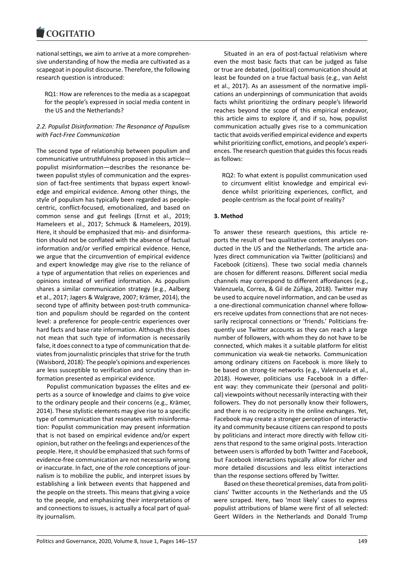national settings, we aim to arrive at a more comprehensive understanding of how the media are cultivated as a scapegoat in populist discourse. Therefore, the following research question is introduced:

RQ1: How are references to the media as a scapegoat for the people's expressed in social media content in the US and the Netherlands?

## *2.2. Populist Disinformation: The Resonance of Populism with Fact-Free Communication*

The second type of relationship between populism and communicative untruthfulness proposed in this article populist misinformation—describes the resonance between populist styles of communication and the expression of fact-free sentiments that bypass expert knowledge and empirical evidence. Among other things, the style of populism has typically been regarded as peoplecentric, conflict-focused, emotionalized, and based on common sense and gut feelings (Ernst et al., 2019; Hameleers et al., 2017; Schmuck & Hameleers, 2019). Here, it should be emphasized that mis- and disinformation should not be conflated with the absence of factual information and/or verified empirical evidence. Hence, we argue that the circumvention of empirical evidence and expert knowledge may give rise to the reliance of a type of argumentation that relies on experiences and opinions instead of verified information. As populism shares a similar communication strategy (e.g., Aalberg et al., 2017; Jagers & Walgrave, 2007; Krämer, 2014), the second type of affinity between post-truth communication and populism should be regarded on the content level: a preference for people-centric experiences over hard facts and base rate information. Although this does not mean that such type of information is necessarily false, it does connect to a type of communication that deviates from journalistic principles that strive for the truth (Waisbord, 2018): The people's opinions and experiences are less susceptible to verification and scrutiny than information presented as empirical evidence.

Populist communication bypasses the elites and experts as a source of knowledge and claims to give voice to the ordinary people and their concerns (e.g., Krämer, 2014). These stylistic elements may give rise to a specific type of communication that resonates with misinformation: Populist communication may present information that is not based on empirical evidence and/or expert opinion, but rather on the feelings and experiences of the people. Here, it should be emphasized that such forms of evidence-free communication are not necessarily wrong or inaccurate. In fact, one of the role conceptions of journalism is to mobilize the public, and interpret issues by establishing a link between events that happened and the people on the streets. This means that giving a voice to the people, and emphasizing their interpretations of and connections to issues, is actually a focal part of quality journalism.

Situated in an era of post-factual relativism where even the most basic facts that can be judged as false or true are debated, (political) communication should at least be founded on a true factual basis (e.g., van Aelst et al., 2017). As an assessment of the normative implications an underpinnings of communication that avoids facts whilst prioritizing the ordinary people's lifeworld reaches beyond the scope of this empirical endeavor, this article aims to explore if, and if so, how, populist communication actually gives rise to a communication tactic that avoids verified empirical evidence and experts whilst prioritizing conflict, emotions, and people's experiences. The research question that guides this focus reads as follows:

RQ2: To what extent is populist communication used to circumvent elitist knowledge and empirical evidence whilst prioritizing experiences, conflict, and people-centrism as the focal point of reality?

## **3. Method**

To answer these research questions, this article reports the result of two qualitative content analyses conducted in the US and the Netherlands. The article analyzes direct communication via Twitter (politicians) and Facebook (citizens). These two social media channels are chosen for different reasons. Different social media channels may correspond to different affordances (e.g., Valenzuela, Correa, & Gil de Zúñiga, 2018). Twitter may be used to acquire novel information, and can be used as a one-directional communication channel where followers receive updates from connections that are not necessarily reciprocal connections or 'friends.' Politicians frequently use Twitter accounts as they can reach a large number of followers, with whom they do not have to be connected, which makes it a suitable platform for elitist communication via weak-tie networks. Communication among ordinary citizens on Facebook is more likely to be based on strong-tie networks (e.g., Valenzuela et al., 2018). However, politicians use Facebook in a different way: they communicate their (personal and political) viewpoints without necessarily interacting with their followers. They do not personally know their followers, and there is no reciprocity in the online exchanges. Yet, Facebook may create a stronger perception of interactivity and community because citizens can respond to posts by politicians and interact more directly with fellow citizens that respond to the same original posts. Interaction between users is afforded by both Twitter and Facebook, but Facebook interactions typically allow for richer and more detailed discussions and less elitist interactions than the response sections offered by Twitter.

Based on these theoretical premises, data from politicians' Twitter accounts in the Netherlands and the US were scraped. Here, two 'most likely' cases to express populist attributions of blame were first of all selected: Geert Wilders in the Netherlands and Donald Trump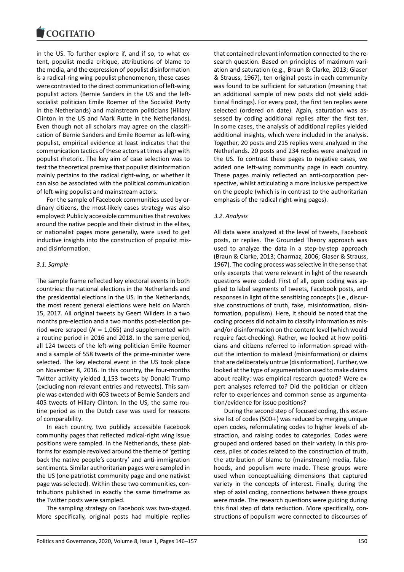in the US. To further explore if, and if so, to what extent, populist media critique, attributions of blame to the media, and the expression of populist disinformation is a radical-ring wing populist phenomenon, these cases were contrasted to the direct communication of left-wing populist actors (Bernie Sanders in the US and the leftsocialist politician Emile Roemer of the Socialist Party in the Netherlands) and mainstream politicians (Hillary Clinton in the US and Mark Rutte in the Netherlands). Even though not all scholars may agree on the classification of Bernie Sanders and Emile Roemer as left-wing populist, empirical evidence at least indicates that the communication tactics of these actors at times align with populist rhetoric. The key aim of case selection was to test the theoretical premise that populist disinformation mainly pertains to the radical right-wing, or whether it can also be associated with the political communication of left-wing populist and mainstream actors.

For the sample of Facebook communities used by ordinary citizens, the most-likely cases strategy was also employed: Publicly accessible communities that revolves around the native people and their distrust in the elites, or nationalist pages more generally, were used to get inductive insights into the construction of populist misand disinformation.

#### *3.1. Sample*

The sample frame reflected key electoral events in both countries: the national elections in the Netherlands and the presidential elections in the US. In the Netherlands, the most recent general elections were held on March 15, 2017. All original tweets by Geert Wilders in a two months pre-election and a two months post-election period were scraped ( $N = 1,065$ ) and supplemented with a routine period in 2016 and 2018. In the same period, all 124 tweets of the left-wing politician Emile Roemer and a sample of 558 tweets of the prime-minister were selected. The key electoral event in the US took place on November 8, 2016. In this country, the four-months Twitter activity yielded 1,153 tweets by Donald Trump (excluding non-relevant entries and retweets). This sample was extended with 603 tweets of Bernie Sanders and 405 tweets of Hillary Clinton. In the US, the same routine period as in the Dutch case was used for reasons of comparability.

In each country, two publicly accessible Facebook community pages that reflected radical-right wing issue positions were sampled. In the Netherlands, these platforms for example revolved around the theme of 'getting back the native people's country' and anti-immigration sentiments. Similar authoritarian pages were sampled in the US (one patriotist community page and one nativist page was selected). Within these two communities, contributions published in exactly the same timeframe as the Twitter posts were sampled.

The sampling strategy on Facebook was two-staged. More specifically, original posts had multiple replies

that contained relevant information connected to the research question. Based on principles of maximum variation and saturation (e.g., Braun & Clarke, 2013; Glaser & Strauss, 1967), ten original posts in each community was found to be sufficient for saturation (meaning that an additional sample of new posts did not yield additional findings). For every post, the first ten replies were selected (ordered on date). Again, saturation was assessed by coding additional replies after the first ten. In some cases, the analysis of additional replies yielded additional insights, which were included in the analysis. Together, 20 posts and 215 replies were analyzed in the Netherlands. 20 posts and 234 replies were analyzed in the US. To contrast these pages to negative cases, we added one left-wing community page in each country. These pages mainly reflected an anti-corporation perspective, whilst articulating a more inclusive perspective on the people (which is in contrast to the authoritarian emphasis of the radical right-wing pages).

#### *3.2. Analysis*

All data were analyzed at the level of tweets, Facebook posts, or replies. The Grounded Theory approach was used to analyze the data in a step-by-step approach (Braun & Clarke, 2013; Charmaz, 2006; Glaser & Strauss, 1967). The coding process was selective in the sense that only excerpts that were relevant in light of the research questions were coded. First of all, open coding was applied to label segments of tweets, Facebook posts, and responses in light of the sensitizing concepts (i.e., discursive constructions of truth, fake, misinformation, disinformation, populism). Here, it should be noted that the coding process did not aim to classify information as misand/or disinformation on the content level (which would require fact-checking). Rather, we looked at how politicians and citizens referred to information spread without the intention to mislead (misinformation) or claims that are deliberately untrue (disinformation). Further, we looked at the type of argumentation used to make claims about reality: was empirical research quoted? Were expert analyses referred to? Did the politician or citizen refer to experiences and common sense as argumentation/evidence for issue positions?

During the second step of focused coding, this extensive list of codes (500+) was reduced by merging unique open codes, reformulating codes to higher levels of abstraction, and raising codes to categories. Codes were grouped and ordered based on their variety. In this process, piles of codes related to the construction of truth, the attribution of blame to (mainstream) media, falsehoods, and populism were made. These groups were used when conceptualizing dimensions that captured variety in the concepts of interest. Finally, during the step of axial coding, connections between these groups were made. The research questions were guiding during this final step of data reduction. More specifically, constructions of populism were connected to discourses of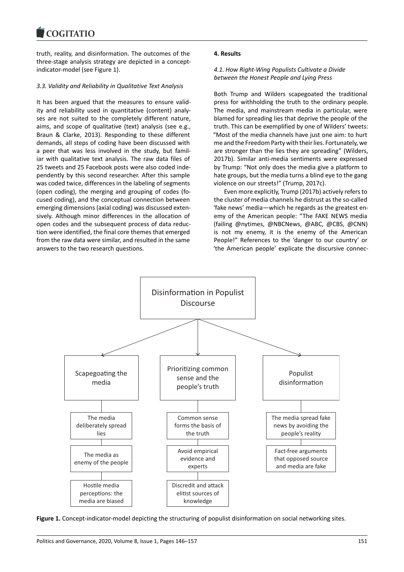truth, reality, and disinformation. The outcomes of the three-stage analysis strategy are depicted in a conceptindicator-model (see Figure 1).

#### *3.3. Validity and Reliability in Qualitative Text Analysis*

It has been argued that the measures to ensure validity and reliability used in quantitative (content) analyses are not suited to the completely different nature, aims, and scope of qualitative (text) analysis (see e.g., Braun & Clarke, 2013). Responding to these different demands, all steps of coding have been discussed with a peer that was less involved in the study, but familiar with qualitative text analysis. The raw data files of 25 tweets and 25 Facebook posts were also coded independently by this second researcher. After this sample was coded twice, differences in the labeling of segments (open coding), the merging and grouping of codes (focused coding), and the conceptual connection between emerging dimensions (axial coding) was discussed extensively. Although minor differences in the allocation of open codes and the subsequent process of data reduction were identified, the final core themes that emerged from the raw data were similar, and resulted in the same answers to the two research questions.

#### **4. Results**

#### *4.1. How Right-Wing Populists Cultivate a Divide between the Honest People and Lying Press*

Both Trump and Wilders scapegoated the traditional press for withholding the truth to the ordinary people. The media, and mainstream media in particular, were blamed for spreading lies that deprive the people of the truth. This can be exemplified by one of Wilders' tweets: "Most of the media channels have just one aim: to hurt me and the Freedom Party with their lies. Fortunately, we are stronger than the lies they are spreading" (Wilders, 2017b). Similar anti-media sentiments were expressed by Trump: "Not only does the media give a platform to hate groups, but the media turns a blind eye to the gang violence on our streets!" (Trump, 2017c).

Even more explicitly, Trump (2017b) actively refers to the cluster of media channels he distrust as the so-called 'fake news' media—which he regards as the greatest enemy of the American people: "The FAKE NEWS media (failing @nytimes, @NBCNews, @ABC, @CBS, @CNN) is not my enemy, it is the enemy of the American People!" References to the 'danger to our country' or 'the American people' explicate the discursive connec-



**Figure 1.** Concept-indicator-model depicting the structuring of populist disinformation on social networking sites.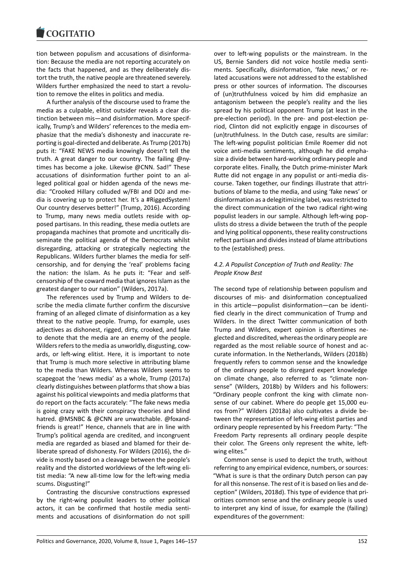tion between populism and accusations of disinformation: Because the media are not reporting accurately on the facts that happened, and as they deliberately distort the truth, the native people are threatened severely. Wilders further emphasized the need to start a revolution to remove the elites in politics and media.

A further analysis of the discourse used to frame the media as a culpable, elitist outsider reveals a clear distinction between mis—and disinformation. More specifically, Trump's and Wilders' references to the media emphasize that the media's dishonesty and inaccurate reporting is goal-directed and deliberate. As Trump (2017b) puts it: "FAKE NEWS media knowingly doesn't tell the truth. A great danger to our country. The failing @nytimes has become a joke. Likewise @CNN. Sad!" These accusations of disinformation further point to an alleged political goal or hidden agenda of the news media: "Crooked Hillary colluded w/FBI and DOJ and media is covering up to protect her. It's a #RiggedSystem! Our country deserves better!" (Trump, 2016). According to Trump, many news media outlets reside with opposed partisans. In this reading, these media outlets are propaganda machines that promote and uncritically disseminate the political agenda of the Democrats whilst disregarding, attacking or strategically neglecting the Republicans. Wilders further blames the media for selfcensorship, and for denying the 'real' problems facing the nation: the Islam. As he puts it: "Fear and selfcensorship of the coward media that ignores Islam as the greatest danger to our nation" (Wilders, 2017a).

The references used by Trump and Wilders to describe the media climate further confirm the discursive framing of an alleged climate of disinformation as a key threat to the native people. Trump, for example, uses adjectives as dishonest, rigged, dirty, crooked, and fake to denote that the media are an enemy of the people. Wilders refers to the media as unworldly, disgusting, cowards, or left-wing elitist. Here, it is important to note that Trump is much more selective in attributing blame to the media than Wilders. Whereas Wilders seems to scapegoat the 'news media' as a whole, Trump (2017a) clearly distinguishes between platforms that show a bias against his political viewpoints and media platforms that do report on the facts accurately: "The fake news media is going crazy with their conspiracy theories and blind hatred. @MSNBC & @CNN are unwatchable. @foxandfriends is great!" Hence, channels that are in line with Trump's political agenda are credited, and incongruent media are regarded as biased and blamed for their deliberate spread of dishonesty. For Wilders (2016), the divide is mostly based on a cleavage between the people's reality and the distorted worldviews of the left-wing elitist media: "A new all-time low for the left-wing media scums. Disgusting!"

Contrasting the discursive constructions expressed by the right-wing populist leaders to other political actors, it can be confirmed that hostile media sentiments and accusations of disinformation do not spill over to left-wing populists or the mainstream. In the US, Bernie Sanders did not voice hostile media sentiments. Specifically, disinformation, 'fake news,' or related accusations were not addressed to the established press or other sources of information. The discourses of (un)truthfulness voiced by him did emphasize an antagonism between the people's reality and the lies spread by his political opponent Trump (at least in the pre-election period). In the pre- and post-election period, Clinton did not explicitly engage in discourses of (un)truthfulness. In the Dutch case, results are similar: The left-wing populist politician Emile Roemer did not voice anti-media sentiments, although he did emphasize a divide between hard-working ordinary people and corporate elites. Finally, the Dutch prime-minister Mark Rutte did not engage in any populist or anti-media discourse. Taken together, our findings illustrate that attributions of blame to the media, and using 'fake news' or disinformation as a delegitimizing label, was restricted to the direct communication of the two radical right-wing populist leaders in our sample. Although left-wing populists do stress a divide between the truth of the people and lying political opponents, these reality constructions reflect partisan and divides instead of blame attributions to the (established) press.

## *4.2. A Populist Conception of Truth and Reality: The People Know Best*

The second type of relationship between populism and discourses of mis- and disinformation conceptualized in this article—populist disinformation—can be identified clearly in the direct communication of Trump and Wilders. In the direct Twitter communication of both Trump and Wilders, expert opinion is oftentimes neglected and discredited, whereas the ordinary people are regarded as the most reliable source of honest and accurate information. In the Netherlands, Wilders (2018b) frequently refers to common sense and the knowledge of the ordinary people to disregard expert knowledge on climate change, also referred to as "climate nonsense" (Wilders, 2018b) by Wilders and his followers: "Ordinary people confront the king with climate nonsense of our cabinet. Where do people get 15,000 euros from?" Wilders (2018a) also cultivates a divide between the representation of left-wing elitist parties and ordinary people represented by his Freedom Party: "The Freedom Party represents all ordinary people despite their color. The Greens only represent the white, leftwing elites."

Common sense is used to depict the truth, without referring to any empirical evidence, numbers, or sources: "What is sure is that the ordinary Dutch person can pay for all this nonsense. The rest of it is based on lies and deception" (Wilders, 2018d). This type of evidence that prioritizes common sense and the ordinary people is used to interpret any kind of issue, for example the (failing) expenditures of the government: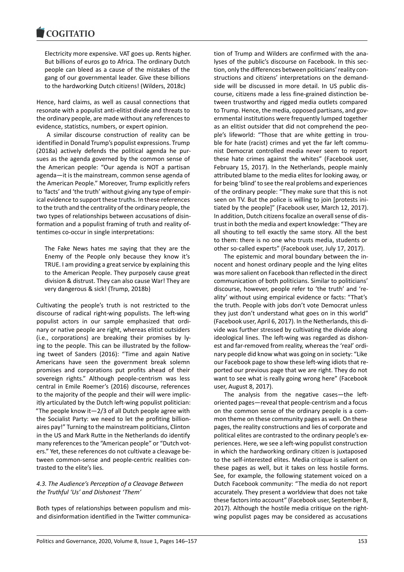Electricity more expensive. VAT goes up. Rents higher. But billions of euros go to Africa. The ordinary Dutch people can bleed as a cause of the mistakes of the gang of our governmental leader. Give these billions to the hardworking Dutch citizens! (Wilders, 2018c)

Hence, hard claims, as well as causal connections that resonate with a populist anti-elitist divide and threats to the ordinary people, are made without any references to evidence, statistics, numbers, or expert opinion.

A similar discourse construction of reality can be identified in Donald Trump's populist expressions. Trump (2018a) actively defends the political agenda he pursues as the agenda governed by the common sense of the American people: "Our agenda is NOT a partisan agenda—it is the mainstream, common sense agenda of the American People." Moreover, Trump explicitly refers to 'facts' and 'the truth' without giving any type of empirical evidence to support these truths. In these references to the truth and the centrality of the ordinary people, the two types of relationships between accusations of disinformation and a populist framing of truth and reality oftentimes co-occur in single interpretations:

The Fake News hates me saying that they are the Enemy of the People only because they know it's TRUE. I am providing a great service by explaining this to the American People. They purposely cause great division & distrust. They can also cause War! They are very dangerous & sick! (Trump, 2018b)

Cultivating the people's truth is not restricted to the discourse of radical right-wing populists. The left-wing populist actors in our sample emphasized that ordinary or native people are right, whereas elitist outsiders (i.e., corporations) are breaking their promises by lying to the people. This can be illustrated by the following tweet of Sanders (2016): "Time and again Native Americans have seen the government break solemn promises and corporations put profits ahead of their sovereign rights." Although people-centrism was less central in Emile Roemer's (2016) discourse, references to the majority of the people and their will were implicitly articulated by the Dutch left-wing populist politician: "The people know it—2/3 of all Dutch people agree with the Socialist Party: we need to let the profiting billionaires pay!" Turning to the mainstream politicians, Clinton in the US and Mark Rutte in the Netherlands do identify many references to the "American people" or "Dutch voters." Yet, these references do not cultivate a cleavage between common-sense and people-centric realities contrasted to the elite's lies.

## *4.3. The Audience's Perception of a Cleavage Between the Truthful 'Us' and Dishonest 'Them'*

Both types of relationships between populism and misand disinformation identified in the Twitter communication of Trump and Wilders are confirmed with the analyses of the public's discourse on Facebook. In this section, only the differences between politicians' reality constructions and citizens' interpretations on the demandside will be discussed in more detail. In US public discourse, citizens made a less fine-grained distinction between trustworthy and rigged media outlets compared to Trump. Hence, the media, opposed partisans, and governmental institutions were frequently lumped together as an elitist outsider that did not comprehend the people's lifeworld: "Those that are white getting in trouble for hate (racist) crimes and yet the far left communist Democrat controlled media never seem to report these hate crimes against the whites" (Facebook user, February 15, 2017). In the Netherlands, people mainly attributed blame to the media elites for looking away, or for being 'blind' to see the real problems and experiences of the ordinary people: "They make sure that this is not seen on TV. But the police is willing to join [protests initiated by the people]" (Facebook user, March 12, 2017). In addition, Dutch citizens focalize an overall sense of distrust in both the media and expert knowledge: "They are all shouting to tell exactly the same story. All the best to them: there is no one who trusts media, students or other so-called experts" (Facebook user, July 17, 2017).

The epistemic and moral boundary between the innocent and honest ordinary people and the lying elites was more salient on Facebook than reflected in the direct communication of both politicians. Similar to politicians' discourse, however, people refer to 'the truth' and 'reality' without using empirical evidence or facts: "That's the truth. People with jobs don't vote Democrat unless they just don't understand what goes on in this world" (Facebook user, April 6, 2017). In the Netherlands, this divide was further stressed by cultivating the divide along ideological lines. The left-wing was regarded as dishonest and far-removed from reality, whereas the 'real' ordinary people did know what was going on in society: "Like our Facebook page to show these left-wing idiots that reported our previous page that we are right. They do not want to see what is really going wrong here" (Facebook user, August 8, 2017).

The analysis from the negative cases—the leftoriented pages—reveal that people-centrism and a focus on the common sense of the ordinary people is a common theme on these community pages as well. On these pages, the reality constructions and lies of corporate and political elites are contrasted to the ordinary people's experiences. Here, we see a left-wing populist construction in which the hardworking ordinary citizen is juxtaposed to the self-interested elites. Media critique is salient on these pages as well, but it takes on less hostile forms. See, for example, the following statement voiced on a Dutch Facebook community: "The media do not report accurately. They present a worldview that does not take these factors into account" (Facebook user, September 8, 2017). Although the hostile media critique on the rightwing populist pages may be considered as accusations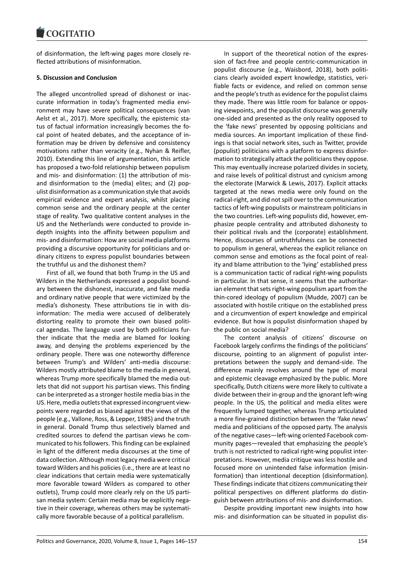of disinformation, the left-wing pages more closely reflected attributions of misinformation.

#### **5. Discussion and Conclusion**

The alleged uncontrolled spread of dishonest or inaccurate information in today's fragmented media environment may have severe political consequences (van Aelst et al., 2017). More specifically, the epistemic status of factual information increasingly becomes the focal point of heated debates, and the acceptance of information may be driven by defensive and consistency motivations rather than veracity (e.g., Nyhan & Reifler, 2010). Extending this line of argumentation, this article has proposed a two-fold relationship between populism and mis- and disinformation: (1) the attribution of misand disinformation to the (media) elites; and (2) populist disinformation as a communication style that avoids empirical evidence and expert analysis, whilst placing common sense and the ordinary people at the center stage of reality. Two qualitative content analyses in the US and the Netherlands were conducted to provide indepth insights into the affinity between populism and mis- and disinformation: How are social media platforms providing a discursive opportunity for politicians and ordinary citizens to express populist boundaries between the truthful us and the dishonest them?

First of all, we found that both Trump in the US and Wilders in the Netherlands expressed a populist boundary between the dishonest, inaccurate, and fake media and ordinary native people that were victimized by the media's dishonesty. These attributions tie in with disinformation: The media were accused of deliberately distorting reality to promote their own biased political agendas. The language used by both politicians further indicate that the media are blamed for looking away, and denying the problems experienced by the ordinary people. There was one noteworthy difference between Trump's and Wilders' anti-media discourse: Wilders mostly attributed blame to the media in general, whereas Trump more specifically blamed the media outlets that did not support his partisan views. This finding can be interpreted as a stronger hostile media bias in the US. Here, media outlets that expressed incongruent viewpoints were regarded as biased against the views of the people (e.g., Vallone, Ross, & Lepper, 1985) and the truth in general. Donald Trump thus selectively blamed and credited sources to defend the partisan views he communicated to his followers. This finding can be explained in light of the different media discourses at the time of data collection. Although most legacy media were critical toward Wilders and his policies (i.e., there are at least no clear indications that certain media were systematically more favorable toward Wilders as compared to other outlets), Trump could more clearly rely on the US partisan media system: Certain media may be explicitly negative in their coverage, whereas others may be systematically more favorable because of a political parallelism.

In support of the theoretical notion of the expression of fact-free and people centric-communication in populist discourse (e.g., Waisbord, 2018), both politicians clearly avoided expert knowledge, statistics, verifiable facts or evidence, and relied on common sense and the people's truth as evidence for the populist claims they made. There was little room for balance or opposing viewpoints, and the populist discourse was generally one-sided and presented as the only reality opposed to the 'fake news' presented by opposing politicians and media sources. An important implication of these findings is that social network sites, such as Twitter, provide (populist) politicians with a platform to express disinformation to strategically attack the politicians they oppose. This may eventually increase polarized divides in society, and raise levels of political distrust and cynicism among the electorate (Marwick & Lewis, 2017). Explicit attacks targeted at the news media were only found on the radical-right, and did not spill over to the communication tactics of left-wing populists or mainstream politicians in the two countries. Left-wing populists did, however, emphasize people centrality and attributed dishonesty to their political rivals and the (corporate) establishment. Hence, discourses of untruthfulness can be connected to populism in general, whereas the explicit reliance on common sense and emotions as the focal point of reality and blame attribution to the 'lying' established press is a communication tactic of radical right-wing populists in particular. In that sense, it seems that the authoritarian element that sets right-wing populism apart from the thin-cored ideology of populism (Mudde, 2007) can be associated with hostile critique on the established press and a circumvention of expert knowledge and empirical evidence. But how is populist disinformation shaped by the public on social media?

The content analysis of citizens' discourse on Facebook largely confirms the findings of the politicians' discourse, pointing to an alignment of populist interpretations between the supply and demand-side. The difference mainly revolves around the type of moral and epistemic cleavage emphasized by the public. More specifically, Dutch citizens were more likely to cultivate a divide between their in-group and the ignorant left-wing people. In the US, the political and media elites were frequently lumped together, whereas Trump articulated a more fine-grained distinction between the 'fake news' media and politicians of the opposed party. The analysis of the negative cases—left-wing oriented Facebook community pages—revealed that emphasizing the people's truth is not restricted to radical right-wing populist interpretations. However, media critique was less hostile and focused more on unintended false information (misinformation) than intentional deception (disinformation). These findings indicate that citizens communicating their political perspectives on different platforms do distinguish between attributions of mis- and disinformation.

Despite providing important new insights into how mis- and disinformation can be situated in populist dis-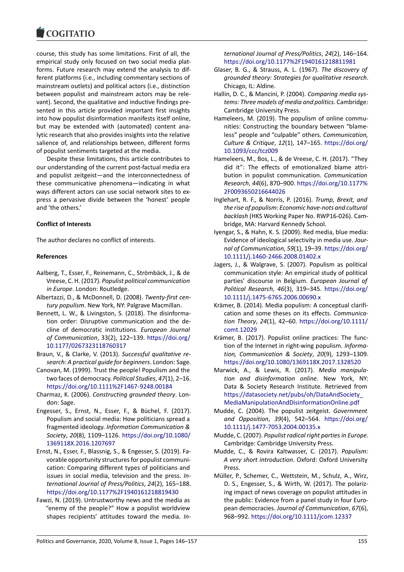course, this study has some limitations. First of all, the empirical study only focused on two social media platforms. Future research may extend the analysis to different platforms (i.e., including commentary sections of mainstream outlets) and political actors (i.e., distinction between populist and mainstream actors may be relevant). Second, the qualitative and inductive findings presented in this article provided important first insights into how populist disinformation manifests itself online, but may be extended with (automated) content analytic research that also provides insights into the relative salience of, and relationships between, different forms of populist sentiments targeted at the media.

Despite these limitations, this article contributes to our understanding of the current post-factual media era and populist zeitgeist—and the interconnectedness of these communicative phenomena—indicating in what ways different actors can use social network sites to express a pervasive divide between the 'honest' people and 'the others.'

#### **Conflict of Interests**

The author declares no conflict of interests.

#### **References**

- Aalberg, T., Esser, F., Reinemann, C., Strömbäck, J., & de Vreese, C. H. (2017). *Populist political communication in Europe*. London: Routledge.
- Albertazzi, D., & McDonnell, D. (2008). *Twenty-first century populism*. New York, NY: Palgrave Macmillan.
- Bennett, L. W., & Livingston, S. (2018). The disinformation order: Disruptive communication and the decline of democratic institutions. *European Journal of Communication*, 33(2), 122–139. https://doi.org/ 10.1177/0267323118760317
- Braun, V., & Clarke, V. (2013). *Successful qualitative research: A practical guide for beginners*. London: Sage.
- Canovan, M. (1999). Trust the people! P[opulism and the](https://doi.org/10.1177/0267323118760317) [two faces of democracy.](https://doi.org/10.1177/0267323118760317) *Political Studies*, *47*(1), 2–16. https://doi.org/10.1111%2F1467-9248.00184
- Charmaz, K. (2006). *Constructing grounded theory*. London: Sage.
- Engesser, S., Ernst, N., Esser, F., & Büchel, F. (2017). [Populism and social media: How politicians sp](https://doi.org/10.1111%2F1467-9248.00184)read a fragmented ideology. *Information Communication & Society*, *20*(8), 1109–1126. https://doi.org/10.1080/ 1369118X.2016.1207697
- Ernst, N., Esser, F., Blassnig, S., & Engesser, S. (2019). Favorable opportunity structures for populist communication: Comparing differen[t types of politicians and](https://doi.org/10.1080/1369118X.2016.1207697) [issues in social media, te](https://doi.org/10.1080/1369118X.2016.1207697)levision and the press. *International Journal of Press/Politics*, *24*(2), 165–188. https://doi.org/10.1177%2F1940161218819430
- Fawzi, N. (2019). Untrustworthy news and the media as "enemy of the people?" How a populist worldview shapes recipients' attitudes toward the media. *In-*

*ternational Journal of Press/Politics*, *24*(2), 146–164. https://doi.org/10.1177%2F1940161218811981

- Glaser, B. G., & Strauss, A. L. (1967). *The discovery of grounded theory: Strategies for qualitative research*. Chicago, IL: Aldine.
- Hal[lin, D. C., & Mancini, P. \(2004\).](https://doi.org/10.1177%2F1940161218811981) *Comparing media systems: Three models of media and politics*. Cambridge: Cambridge University Press.
- Hameleers, M. (2019). The populism of online communities: Constructing the boundary between "blameless" people and "culpable" others. *Communication, Culture & Critique*, *12*(1), 147–165. https://doi.org/ 10.1093/ccc/tcz009
- Hameleers, M., Bos, L., & de Vreese, C. H. (2017). "They did it": The effects of emotionalized blame attribution in populist communication. *[Communication](https://doi.org/10.1093/ccc/tcz009) [Research](https://doi.org/10.1093/ccc/tcz009)*, *44*(6), 870–900. https://doi.org/10.1177% 2F0093650216644026
- Inglehart, R. F., & Norris, P. (2016). *Trump, Brexit, and the rise of populism: Economic have-nots and cultural backlash* (HKS Working Pa[per No. RWP16-026\). Cam](https://doi.org/10.1177%2F0093650216644026)[bridge, MA: Harvard Ke](https://doi.org/10.1177%2F0093650216644026)nnedy School.
- Iyengar, S., & Hahn, K. S. (2009). Red media, blue media: Evidence of ideological selectivity in media use. *Journal of Communication*, *59*(1), 19–39. https://doi.org/ 10.1111/j.1460-2466.2008.01402.x
- Jagers, J., & Walgrave, S. (2007). Populism as political communication style: An empirical study of political parties' discourse in Belgium. *Euro[pean Journal of](https://doi.org/10.1111/j.1460-2466.2008.01402.x) [Political Research](https://doi.org/10.1111/j.1460-2466.2008.01402.x)*, *46*(3), 319–345. https://doi.org/ 10.1111/j.1475-6765.2006.00690.x
- Krämer, B. (2014). Media populism: A conceptual clarification and some theses on its effects. *Communication Theory*, *24*(1), 42–60. https://[doi.org/10.1111/](https://doi.org/10.1111/j.1475-6765.2006.00690.x) [comt.12029](https://doi.org/10.1111/j.1475-6765.2006.00690.x)
- Krämer, B. (2017). Populist online practices: The function of the Internet in right-wing populism. *Information, Communication & Society*, *20*[\(9\), 1293–1309.](https://doi.org/10.1111/comt.12029) [https://doi.o](https://doi.org/10.1111/comt.12029)rg/10.1080/1369118X.2017.1328520
- Marwick, A., & Lewis, R. (2017). *Media manipulation and disinformation online*. New York, NY: Data & Society Research Institute. Retrieved from [https://datasociety.net/pubs/oh/DataAndSociety\\_](https://doi.org/10.1080/1369118X.2017.1328520) MediaManipulationAndDisinformationOnline.pdf
- Mudde, C. (2004). The populist zeitgeist. *Government and Opposition*, *39*(4), 542–564. https://doi.org/ [10.1111/j.1477-7053.2004.00135.x](https://datasociety.net/pubs/oh/DataAndSociety_MediaManipulationAndDisinformationOnline.pdf)
- Mudde, C. (2007). *[Populist radical right parties in Euro](https://datasociety.net/pubs/oh/DataAndSociety_MediaManipulationAndDisinformationOnline.pdf)pe*. Cambridge: Cambridge University Press.
- Mudde, C., & Rovira Kaltwasser, C. (2017). *[Populism:](https://doi.org/10.1111/j.1477-7053.2004.00135.x) [A very short introduction](https://doi.org/10.1111/j.1477-7053.2004.00135.x)*. Oxford: Oxford University Press.
- Müller, P., Schemer, C., Wettstein, M., Schulz, A., Wirz, D. S., Engesser, S., & Wirth, W. (2017). The polarizing impact of news coverage on populist attitudes in the public: Evidence from a panel study in four European democracies. *Journal of Communication*, *67*(6), 968–992. https://doi.org/10.1111/jcom.12337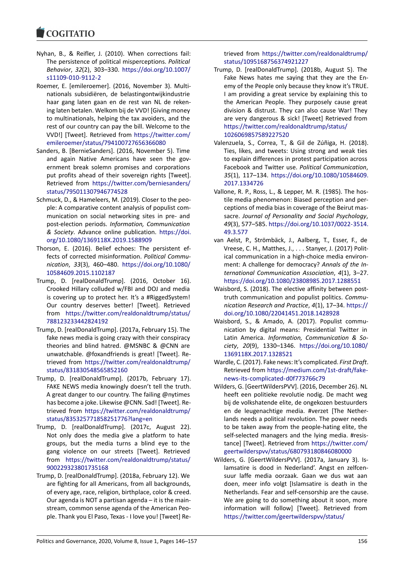- Nyhan, B., & Reifler, J. (2010). When corrections fail: The persistence of political misperceptions. *Political Behavior*, *32*(2), 303–330. https://doi.org/10.1007/ s11109-010-9112-2
- Roemer, E. [emileroemer]. (2016, November 3). Multinationals subsidiëren, de belastingontwijkindustrie haar gang laten gaan en [de rest van NL de reken](https://doi.org/10.1007/s11109-010-9112-2)[ing laten betalen. We](https://doi.org/10.1007/s11109-010-9112-2)lkom bij de VVD! [Giving money to multinationals, helping the tax avoiders, and the rest of our country can pay the bill. Welcome to the VVD!] [Tweet]. Retrieved from https://twitter.com/ emileroemer/status/794100727656366080
- Sanders, B. [BernieSanders]. (2016, November 5). Time and again Native Americans have seen the government break solemn promis[es and corporations](https://twitter.com/emileroemer/status/794100727656366080) [put profits ahead of their sovereign rights](https://twitter.com/emileroemer/status/794100727656366080) [Tweet]. Retrieved from https://twitter.com/berniesanders/ status/795011307946774528
- Schmuck, D., & Hameleers, M. (2019). Closer to the people: A comparative content analysis of populist communication on [social networking sites in pre- and](https://twitter.com/berniesanders/status/795011307946774528) [post-election periods.](https://twitter.com/berniesanders/status/795011307946774528) *Information, Communication & Society*. Advance online publication. https://doi. org/10.1080/1369118X.2019.1588909
- Thorson, E. (2016). Belief echoes: The persistent effects of corrected misinformation. *Political Communication*, *33*(3), 460–480. https://doi.o[rg/10.1080/](https://doi.org/10.1080/1369118X.2019.1588909) [10584609.2015.1102187](https://doi.org/10.1080/1369118X.2019.1588909)
- Trump, D. [realDonaldTrump]. (2016, October 16). Crooked Hillary colluded w/FBI and DOJ and media is covering up to protect h[er. It's a #RiggedSystem!](https://doi.org/10.1080/10584609.2015.1102187) [Our country deserves b](https://doi.org/10.1080/10584609.2015.1102187)etter! [Tweet]. Retrieved from https://twitter.com/realdonaldtrump/status/ 788123233442824192
- Trump, D. [realDonaldTrump]. (2017a, February 15). The fake news media is going crazy with their conspiracy theori[es and blind hatred. @MSNBC & @CNN are](https://twitter.com/realdonaldtrump/status/788123233442824192) [unwatchable. @foxand](https://twitter.com/realdonaldtrump/status/788123233442824192)friends is great! [Tweet]. Retrieved from https://twitter.com/realdonaldtrump/ status/831830548565852160
- Trump, D. [realDonaldTrump]. (2017b, February 17). FAKE NEWS media knowingly doesn't tell the truth. A great dang[er to our country. The failing @nytimes](https://twitter.com/realdonaldtrump/status/831830548565852160) [has become a joke. Likewise @](https://twitter.com/realdonaldtrump/status/831830548565852160)CNN. Sad! [Tweet]. Retrieved from https://twitter.com/realdonaldtrump/ status/835325771858251776?lang=en
- Trump, D. [realDonaldTrump]. (2017c, August 22). Not only does the media give a platform to hate groups, but [the media turns a blind eye to the](https://twitter.com/realdonaldtrump/status/835325771858251776?lang=en) [gang violence on our streets \[Twee](https://twitter.com/realdonaldtrump/status/835325771858251776?lang=en)t]. Retrieved from https://twitter.com/realdonaldtrump/status/ 900229323801735168
- Trump, D. [realDonaldTrump]. (2018a, February 12). We are fighting for all Americans, from all backgrounds, of ever[y age, race, religion, birthplace, color & creed.](https://twitter.com/realdonaldtrump/status/900229323801735168) [Our agenda is NOT a pa](https://twitter.com/realdonaldtrump/status/900229323801735168)rtisan agenda – it is the mainstream, common sense agenda of the American People. Thank you El Paso, Texas - I love you! [Tweet] Re-

trieved from https://twitter.com/realdonaldtrump/ status/1095168756374921227

- Trump, D. [realDonaldTrump]. (2018b, August 5). The Fake News hates me saying that they are the Enemy of the Pe[ople only because they know it's TRUE.](https://twitter.com/realdonaldtrump/status/1095168756374921227) [I am providing a great service](https://twitter.com/realdonaldtrump/status/1095168756374921227) by explaining this to the American People. They purposely cause great division & distrust. They can also cause War! They are very dangerous & sick! [Tweet] Retrieved from https://twitter.com/realdonaldtrump/status/ 1026069857589227520
- Valenzuela, S., Correa, T., & Gil de Zúñiga, H. (2018). Ties, likes, and tweets: Using strong and weak ties [to explain differences in protest participation](https://twitter.com/realdonaldtrump/status/1026069857589227520) across [Facebook and Twitter u](https://twitter.com/realdonaldtrump/status/1026069857589227520)se. *Political Communication*, *35*(1), 117–134. https://doi.org/10.1080/10584609. 2017.1334726
- Vallone, R. P., Ross, L., & Lepper, M. R. (1985). The hostile media phenomenon: Biased perception and perceptions of medi[a bias in coverage of the Beirut mas](https://doi.org/10.1080/10584609.2017.1334726)sacre. *[Journal](https://doi.org/10.1080/10584609.2017.1334726) of Personality and Social Psychology*, *49*(3), 577–585. https://doi.org/10.1037/0022-3514. 49.3.577
- van Aelst, P., Strömbäck, J., Aalberg, T., Esser, F., de Vreese, C. H., Matthes, J., . . . Stanyer, J. (2017) Political communica[tion in a high-choice media environ](https://doi.org/10.1037/0022-3514.49.3.577)[ment: A](https://doi.org/10.1037/0022-3514.49.3.577) challenge for democracy? *Annals of the International Communication Association*, *4*(1), 3–27. https://doi.org/10.1080/23808985.2017.1288551
- Waisbord, S. (2018). The elective affinity between posttruth communication and populist politics. *Communication Research and Practice*, *4*(1), 17–34. https:// [doi.org/10.1080/22041451.2018.1428928](https://doi.org/10.1080/23808985.2017.1288551)
- Waisbord, S., & Amado, A. (2017). Populist communication by digital means: Presidential Twitter in Latin America. *Information, Communicatio[n & So](https://doi.org/10.1080/22041451.2018.1428928)ciety*, *20*[\(9\), 1330–1346.](https://doi.org/10.1080/22041451.2018.1428928) https://doi.org/10.1080/ 1369118X.2017.1328521
- Wardle, C. (2017). Fake news: It's complicated. *First Draft*. Retrieved from https://medium.com/1st-draft/fakenews-its-complicated-d0f7[73766c79](https://doi.org/10.1080/1369118X.2017.1328521)
- Wil[ders, G. \[GeertWildersPVV](https://doi.org/10.1080/1369118X.2017.1328521)]. (2016, December 26). NL heeft een politieke revolutie nodig. De macht weg bij de volkshate[nde elite, de ongekozen bestuurders](https://medium.com/1st-draft/fake-news-its-complicated-d0f773766c79) [en de leugenachtige media. #verze](https://medium.com/1st-draft/fake-news-its-complicated-d0f773766c79)t [The Netherlands needs a political revolution. The power needs to be taken away from the people-hating elite, the self-selected managers and the lying media. #resistance] [Tweet]. Retrieved from https://twitter.com/ geertwilderspvv/status/680793180846080000
- Wilders, G. [GeertWildersPVV]. (2017a, January 3). Islamsatire is dood in Nederland'. Angst en zelfcensuur laffe media oorzaak. Ga[an we dus wat aan](https://twitter.com/geertwilderspvv/status/680793180846080000) [doen, meer info volgt \[Islamsatire is death i](https://twitter.com/geertwilderspvv/status/680793180846080000)n the Netherlands. Fear and self-censorship are the cause. We are going to do something about it soon, more information will follow] [Tweet]. Retrieved from https://twitter.com/geertwilderspvv/status/